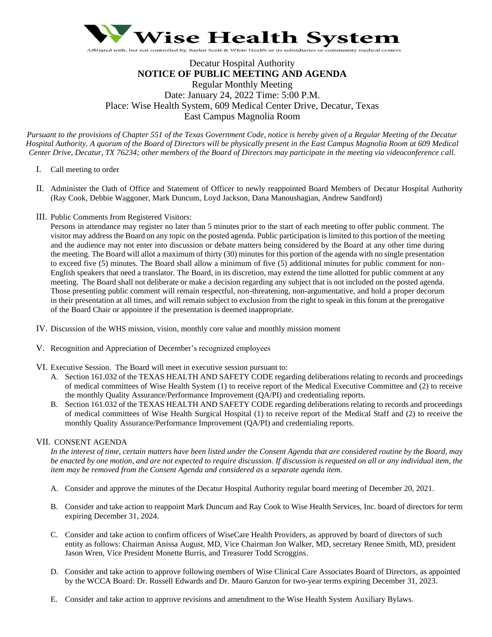

# Decatur Hospital Authority **NOTICE OF PUBLIC MEETING AND AGENDA** Regular Monthly Meeting Date: January 24, 2022 Time: 5:00 P.M. Place: Wise Health System, 609 Medical Center Drive, Decatur, Texas East Campus Magnolia Room

*Pursuant to the provisions of Chapter 551 of the Texas Government Code, notice is hereby given of a Regular Meeting of the Decatur Hospital Authority. A quorum of the Board of Directors will be physically present in the East Campus Magnolia Room at 609 Medical Center Drive, Decatur, TX 76234; other members of the Board of Directors may participate in the meeting via videoconference call.*

- I. Call meeting to order
- II. Administer the Oath of Office and Statement of Officer to newly reappointed Board Members of Decatur Hospital Authority (Ray Cook, Debbie Waggoner, Mark Duncum, Loyd Jackson, Dana Manoushagian, Andrew Sandford)
- III. Public Comments from Registered Visitors:

Persons in attendance may register no later than 5 minutes prior to the start of each meeting to offer public comment. The visitor may address the Board on any topic on the posted agenda. Public participation is limited to this portion of the meeting and the audience may not enter into discussion or debate matters being considered by the Board at any other time during the meeting. The Board will allot a maximum of thirty (30) minutes for this portion of the agenda with no single presentation to exceed five (5) minutes. The Board shall allow a minimum of five (5) additional minutes for public comment for non-English speakers that need a translator. The Board, in its discretion, may extend the time allotted for public comment at any meeting. The Board shall not deliberate or make a decision regarding any subject that is not included on the posted agenda. Those presenting public comment will remain respectful, non-threatening, non-argumentative, and hold a proper decorum in their presentation at all times, and will remain subject to exclusion from the right to speak in this forum at the prerogative of the Board Chair or appointee if the presentation is deemed inappropriate.

- IV. Discussion of the WHS mission, vision, monthly core value and monthly mission moment
- V. Recognition and Appreciation of December's recognized employees
- VI. Executive Session. The Board will meet in executive session pursuant to:
	- A. Section 161.032 of the TEXAS HEALTH AND SAFETY CODE regarding deliberations relating to records and proceedings of medical committees of Wise Health System (1) to receive report of the Medical Executive Committee and (2) to receive the monthly Quality Assurance/Performance Improvement (QA/PI) and credentialing reports.
	- B. Section 161.032 of the TEXAS HEALTH AND SAFETY CODE regarding deliberations relating to records and proceedings of medical committees of Wise Health Surgical Hospital (1) to receive report of the Medical Staff and (2) to receive the monthly Quality Assurance/Performance Improvement (QA/PI) and credentialing reports.

# VII. CONSENT AGENDA

*In the interest of time, certain matters have been listed under the Consent Agenda that are considered routine by the Board, may be enacted by one motion, and are not expected to require discussion. If discussion is requested on all or any individual item, the item may be removed from the Consent Agenda and considered as a separate agenda item.* 

- A. Consider and approve the minutes of the Decatur Hospital Authority regular board meeting of December 20, 2021.
- B. Consider and take action to reappoint Mark Duncum and Ray Cook to Wise Health Services, Inc. board of directors for term expiring December 31, 2024.
- C. Consider and take action to confirm officers of WiseCare Health Providers, as approved by board of directors of such entity as follows: Chairman Anissa August, MD, Vice Chairman Jon Walker, MD, secretary Renee Smith, MD, president Jason Wren, Vice President Monette Burris, and Treasurer Todd Scroggins.
- D. Consider and take action to approve following members of Wise Clinical Care Associates Board of Directors, as appointed by the WCCA Board: Dr. Russell Edwards and Dr. Mauro Ganzon for two-year terms expiring December 31, 2023.
- E. Consider and take action to approve revisions and amendment to the Wise Health System Auxiliary Bylaws.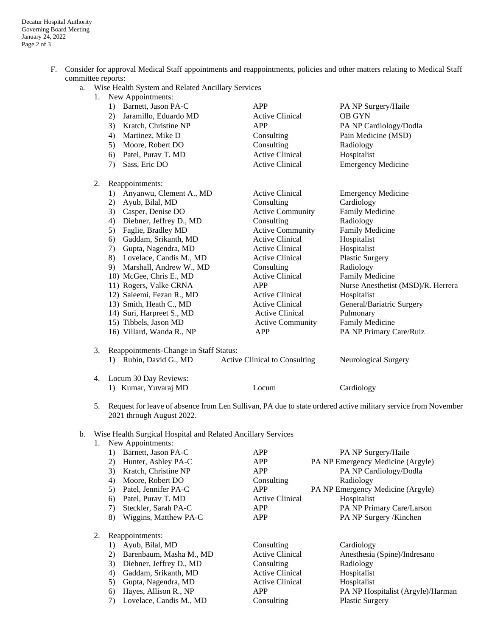- F. Consider for approval Medical Staff appointments and reappointments, policies and other matters relating to Medical Staff committee reports:
	- a. Wise Health System and Related Ancillary Services
		- 1. New Appointments:

|    | Barnett, Jason PA-C<br>1)              | APP                           | PA NP Surgery/Haile                |  |  |
|----|----------------------------------------|-------------------------------|------------------------------------|--|--|
|    | Jaramillo, Eduardo MD<br>2)            | <b>Active Clinical</b>        | <b>OB GYN</b>                      |  |  |
|    | Kratch, Christine NP<br>3)             | APP                           | PA NP Cardiology/Dodla             |  |  |
|    | Martinez, Mike D<br>4)                 | Consulting                    | Pain Medicine (MSD)                |  |  |
|    | Moore, Robert DO<br>5)                 | Consulting                    | Radiology                          |  |  |
|    | Patel, Purav T. MD<br>6)               | <b>Active Clinical</b>        | Hospitalist                        |  |  |
|    | Sass, Eric DO<br>7)                    | <b>Active Clinical</b>        | <b>Emergency Medicine</b>          |  |  |
| 2. | Reappointments:                        |                               |                                    |  |  |
|    | Anyanwu, Clement A., MD<br>1)          | <b>Active Clinical</b>        | <b>Emergency Medicine</b>          |  |  |
|    | Ayub, Bilal, MD<br>2)                  | Consulting                    | Cardiology                         |  |  |
|    | Casper, Denise DO<br>3)                | <b>Active Community</b>       | <b>Family Medicine</b>             |  |  |
|    | Diebner, Jeffrey D., MD<br>4)          | Consulting                    | Radiology                          |  |  |
|    | Faglie, Bradley MD<br>5)               | <b>Active Community</b>       | Family Medicine                    |  |  |
|    | Gaddam, Srikanth, MD<br>6)             | <b>Active Clinical</b>        | Hospitalist                        |  |  |
|    | Gupta, Nagendra, MD<br>7)              | <b>Active Clinical</b>        | Hospitalist                        |  |  |
|    | 8) Lovelace, Candis M., MD             | <b>Active Clinical</b>        | <b>Plastic Surgery</b>             |  |  |
|    | 9) Marshall, Andrew W., MD             | Consulting                    | Radiology                          |  |  |
|    | 10) McGee, Chris E., MD                | <b>Active Clinical</b>        | Family Medicine                    |  |  |
|    | 11) Rogers, Valke CRNA                 | APP                           | Nurse Anesthetist (MSD)/R. Herrera |  |  |
|    | 12) Saleemi, Fezan R., MD              | <b>Active Clinical</b>        | Hospitalist                        |  |  |
|    | 13) Smith, Heath C., MD                | <b>Active Clinical</b>        | General/Bariatric Surgery          |  |  |
|    | 14) Suri, Harpreet S., MD              | <b>Active Clinical</b>        | Pulmonary                          |  |  |
|    | 15) Tibbels, Jason MD                  | <b>Active Community</b>       | Family Medicine                    |  |  |
|    | 16) Villard, Wanda R., NP              | APP                           | PA NP Primary Care/Ruiz            |  |  |
| 3. | Reappointments-Change in Staff Status: |                               |                                    |  |  |
|    | 1) Rubin, David G., MD                 | Active Clinical to Consulting | Neurological Surgery               |  |  |
| 4. | Locum 30 Day Reviews:                  |                               |                                    |  |  |
|    | 1) Kumar, Yuvaraj MD                   | Locum                         | Cardiology                         |  |  |

5. Request for leave of absence from Len Sullivan, PA due to state ordered active military service from November 2021 through August 2022.

# b. Wise Health Surgical Hospital and Related Ancillary Services

|    | New Appointments:     |                        |                                   |  |
|----|-----------------------|------------------------|-----------------------------------|--|
|    | Barnett, Jason PA-C   | APP                    | PA NP Surgery/Haile               |  |
| 2) | Hunter, Ashley PA-C   | <b>APP</b>             | PA NP Emergency Medicine (Argyle) |  |
| 3) | Kratch, Christine NP  | <b>APP</b>             | PA NP Cardiology/Dodla            |  |
| 4) | Moore, Robert DO      | Consulting             | Radiology                         |  |
|    | Patel, Jennifer PA-C  | <b>APP</b>             | PA NP Emergency Medicine (Argyle) |  |
| 6) | Patel, Purav T. MD    | <b>Active Clinical</b> | Hospitalist                       |  |
| 7) | Steckler, Sarah PA-C  | <b>APP</b>             | PA NP Primary Care/Larson         |  |
| 8) | Wiggins, Matthew PA-C | APP                    | PA NP Surgery /Kinchen            |  |
|    | $D$ onnointmonta      |                        |                                   |  |

- 2. Reappointments:
	-
	-
	- 3) Diebner, Jeffrey D., MD Consulting Radiology
	-
	- 5) Gupta, Nagendra, MD Active Clinical Hospitalist
	-
	- 7) Lovelace, Candis M., MD Consulting Plastic Surgery
	- 1) Ayub, Bilal, MD Consulting Cardiology 4) Gaddam, Srikanth, MD Active Clinical Hospitalist

2) Barenbaum, Masha M., MD Active Clinical Anesthesia (Spine)/Indresano 6) Hayes, Allison R., NP APP APP PA NP Hospitalist (Argyle)/Harman